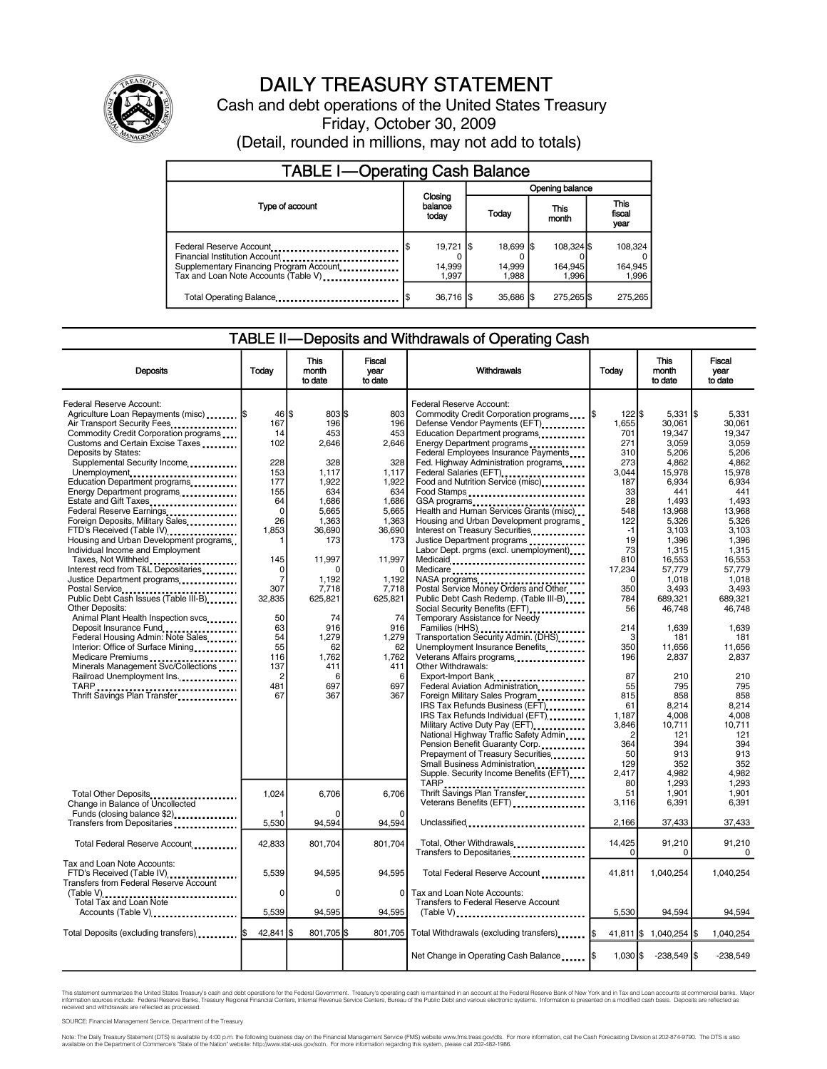

# DAILY TREASURY STATEMENT

Cash and debt operations of the United States Treasury Friday, October 30, 2009 (Detail, rounded in millions, may not add to totals)

| <b>TABLE I-Operating Cash Balance</b>                                                                                                       |                                       |                 |                              |               |                                |                             |  |
|---------------------------------------------------------------------------------------------------------------------------------------------|---------------------------------------|-----------------|------------------------------|---------------|--------------------------------|-----------------------------|--|
|                                                                                                                                             |                                       | Opening balance |                              |               |                                |                             |  |
| Type of account                                                                                                                             | Closing<br>balance<br>today           | Today           |                              | This<br>month | <b>This</b><br>fiscal<br>year  |                             |  |
| Federal Reserve Account<br>Financial Institution Account<br>Supplementary Financing Program Account<br>Tax and Loan Note Accounts (Table V) | $19,721$ \$<br>l\$<br>14,999<br>1.997 |                 | 18,699 \$<br>14,999<br>1.988 |               | 108.324 \$<br>164,945<br>1.996 | 108,324<br>164,945<br>1,996 |  |
| Total Operating Balance                                                                                                                     | $36,716$ $\sqrt{5}$<br>S              |                 | 35.686 \$                    |               | 275,265 \$                     | 275.265                     |  |

### TABLE II—Deposits and Withdrawals of Operating Cash

| <b>Deposits</b>                                                                                                                                                                                                                                                                                                                                                                                                                                                                                                                                                                                                                                                                                                                                                                                                                                                                                                                                                            | Todav                                                                                                                                                                                                           | This<br>month<br>to date                                                                                                                                                                                        | Fiscal<br>vear<br>to date                                                                                                                                                                                                   | Withdrawals                                                                                                                                                                                                                                                                                                                                                                                                                                                                                                                                                                                                                                                                                                                                                                                                                                                                                                                                                                                                                                                                                                                                                                                                                                                                       | Today                                                                                                                                                                                                                                                                                  | <b>This</b><br>month<br>to date                                                                                                                                                                                                                                                                                                | <b>Fiscal</b><br>year<br>to date                                                                                                                                                                                                                                                                                          |
|----------------------------------------------------------------------------------------------------------------------------------------------------------------------------------------------------------------------------------------------------------------------------------------------------------------------------------------------------------------------------------------------------------------------------------------------------------------------------------------------------------------------------------------------------------------------------------------------------------------------------------------------------------------------------------------------------------------------------------------------------------------------------------------------------------------------------------------------------------------------------------------------------------------------------------------------------------------------------|-----------------------------------------------------------------------------------------------------------------------------------------------------------------------------------------------------------------|-----------------------------------------------------------------------------------------------------------------------------------------------------------------------------------------------------------------|-----------------------------------------------------------------------------------------------------------------------------------------------------------------------------------------------------------------------------|-----------------------------------------------------------------------------------------------------------------------------------------------------------------------------------------------------------------------------------------------------------------------------------------------------------------------------------------------------------------------------------------------------------------------------------------------------------------------------------------------------------------------------------------------------------------------------------------------------------------------------------------------------------------------------------------------------------------------------------------------------------------------------------------------------------------------------------------------------------------------------------------------------------------------------------------------------------------------------------------------------------------------------------------------------------------------------------------------------------------------------------------------------------------------------------------------------------------------------------------------------------------------------------|----------------------------------------------------------------------------------------------------------------------------------------------------------------------------------------------------------------------------------------------------------------------------------------|--------------------------------------------------------------------------------------------------------------------------------------------------------------------------------------------------------------------------------------------------------------------------------------------------------------------------------|---------------------------------------------------------------------------------------------------------------------------------------------------------------------------------------------------------------------------------------------------------------------------------------------------------------------------|
| Federal Reserve Account:<br>Agriculture Loan Repayments (misc)  \$<br>Air Transport Security Fees<br>Commodity Credit Corporation programs<br>Customs and Certain Excise Taxes<br>Deposits by States:<br>Supplemental Security Income<br>Unemployment<br>Education Department programs<br>Energy Department programs<br>Estate and Gift Taxes<br>Federal Reserve Earnings<br>Foreign Deposits, Military Sales<br>FTD's Received (Table IV)<br>Housing and Urban Development programs.<br>Individual Income and Employment<br>Taxes, Not Withheld<br>Interest recd from T&L Depositaries<br>Justice Department programs<br>Postal Service<br>Public Debt Cash Issues (Table III-B)<br>Other Deposits:<br>Animal Plant Health Inspection svcs<br>Deposit Insurance Fund<br>Federal Housing Admin: Note Sales<br>Interior: Office of Surface Mining<br>Medicare Premiums<br>Minerals Management Svc/Collections<br>Railroad Unemployment Ins.<br>Thrift Savings Plan Transfer | 46 \$<br>167<br>14<br>102<br>228<br>153<br>177<br>155<br>64<br>$\mathbf 0$<br>26<br>1,853<br>1<br>145<br>$\mathbf 0$<br>7<br>307<br>32,835<br>50<br>63<br>54<br>55<br>116<br>137<br>$\overline{2}$<br>481<br>67 | 803 \$<br>196<br>453<br>2.646<br>328<br>1,117<br>1,922<br>634<br>1,686<br>5,665<br>1,363<br>36.690<br>173<br>11,997<br>1,192<br>7,718<br>625,821<br>74<br>916<br>1,279<br>62<br>1,762<br>411<br>6<br>697<br>367 | 803<br>196<br>453<br>2.646<br>328<br>1.117<br>1,922<br>634<br>1.686<br>5.665<br>1,363<br>36,690<br>173<br>11.997<br>$\mathbf 0$<br>1,192<br>7,718<br>625,821<br>74<br>916<br>1,279<br>62<br>1,762<br>411<br>6<br>697<br>367 | Federal Reserve Account:<br>Commodity Credit Corporation programs<br>Defense Vendor Payments (EFT)<br>Education Department programs<br>Energy Department programs<br>Federal Employees Insurance Payments<br>Fed. Highway Administration programs<br>Federal Salaries (EFT)<br>Food and Nutrition Service (misc)<br>Food Stamps<br>GSA programs<br>Health and Human Services Grants (misc)<br>Housing and Urban Development programs<br>Interest on Treasury Securities<br>Justice Department programs<br>Labor Dept. prgms (excl. unemployment)<br>Medicaid<br>Medicare<br>Postal Service Money Orders and Other<br>Public Debt Cash Redemp. (Table III-B)<br>Social Security Benefits (EFT)<br>Temporary Assistance for Needy<br>Families (HHS)<br>Transportation Security Admin. (DHS)<br>Unemployment Insurance Benefits<br>Veterans Affairs programs<br><br>Other Withdrawals:<br>Export-Import Bank<br>Federal Aviation Administration<br>Foreign Military Sales Program<br>IRS Tax Refunds Business (EFT)<br>IRS Tax Refunds Individual (EFT)<br>Military Active Duty Pay (EFT)<br>National Highway Traffic Safety Admin<br>Pension Benefit Guaranty Corp.<br>Prepayment of Treasury Securities<br>Small Business Administration<br>Supple. Security Income Benefits (EFT) | l\$<br>$122$ $$$<br>1,655<br>701<br>271<br>310<br>273<br>3.044<br>187<br>33<br>28<br>548<br>122<br>$-1$<br>19<br>73<br>810<br>17,234<br>$\Omega$<br>350<br>784<br>56<br>214<br>$\mathbf{3}$<br>350<br>196<br>87<br>55<br>815<br>61<br>1.187<br>3,846<br>2<br>364<br>50<br>129<br>2,417 | $5,331$ \$<br>30,061<br>19,347<br>3.059<br>5.206<br>4,862<br>15.978<br>6,934<br>441<br>1,493<br>13,968<br>5,326<br>3,103<br>1.396<br>1,315<br>16,553<br>57,779<br>1,018<br>3,493<br>689.321<br>46.748<br>1.639<br>181<br>11,656<br>2,837<br>210<br>795<br>858<br>8,214<br>4,008<br>10,711<br>121<br>394<br>913<br>352<br>4,982 | 5,331<br>30.061<br>19.347<br>3.059<br>5.206<br>4,862<br>15.978<br>6,934<br>441<br>1.493<br>13,968<br>5,326<br>3.103<br>1.396<br>1,315<br>16.553<br>57,779<br>1,018<br>3,493<br>689.321<br>46.748<br>1.639<br>181<br>11,656<br>2,837<br>210<br>795<br>858<br>8,214<br>4.008<br>10,711<br>121<br>394<br>913<br>352<br>4,982 |
| Total Other Deposits<br>Change in Balance of Uncollected<br>Funds (closing balance \$2)<br>Transfers from Depositaries                                                                                                                                                                                                                                                                                                                                                                                                                                                                                                                                                                                                                                                                                                                                                                                                                                                     | 1,024<br>5,530                                                                                                                                                                                                  | 6,706<br>94,594                                                                                                                                                                                                 | 6,706<br>0<br>94,594                                                                                                                                                                                                        | Thrift Savings Plan Transfer<br>Veterans Benefits (EFT)<br>Unclassified                                                                                                                                                                                                                                                                                                                                                                                                                                                                                                                                                                                                                                                                                                                                                                                                                                                                                                                                                                                                                                                                                                                                                                                                           | 80<br>51<br>3,116<br>2,166                                                                                                                                                                                                                                                             | 1,293<br>1,901<br>6,391<br>37,433                                                                                                                                                                                                                                                                                              | 1.293<br>1,901<br>6,391<br>37,433                                                                                                                                                                                                                                                                                         |
| Total Federal Reserve Account                                                                                                                                                                                                                                                                                                                                                                                                                                                                                                                                                                                                                                                                                                                                                                                                                                                                                                                                              | 42,833                                                                                                                                                                                                          | 801,704                                                                                                                                                                                                         | 801,704                                                                                                                                                                                                                     | Total, Other Withdrawals<br>Transfers to Depositaries                                                                                                                                                                                                                                                                                                                                                                                                                                                                                                                                                                                                                                                                                                                                                                                                                                                                                                                                                                                                                                                                                                                                                                                                                             | 14,425<br>$\Omega$                                                                                                                                                                                                                                                                     | 91,210<br>0                                                                                                                                                                                                                                                                                                                    | 91,210<br>0                                                                                                                                                                                                                                                                                                               |
| Tax and Loan Note Accounts:<br>FTD's Received (Table IV)<br><b>Transfers from Federal Reserve Account</b>                                                                                                                                                                                                                                                                                                                                                                                                                                                                                                                                                                                                                                                                                                                                                                                                                                                                  | 5.539                                                                                                                                                                                                           | 94,595                                                                                                                                                                                                          | 94.595                                                                                                                                                                                                                      | Total Federal Reserve Account                                                                                                                                                                                                                                                                                                                                                                                                                                                                                                                                                                                                                                                                                                                                                                                                                                                                                                                                                                                                                                                                                                                                                                                                                                                     | 41.811                                                                                                                                                                                                                                                                                 | 1,040,254                                                                                                                                                                                                                                                                                                                      | 1,040,254                                                                                                                                                                                                                                                                                                                 |
| Accounts (Table V)                                                                                                                                                                                                                                                                                                                                                                                                                                                                                                                                                                                                                                                                                                                                                                                                                                                                                                                                                         | 0<br>5,539                                                                                                                                                                                                      | $\Omega$<br>94,595                                                                                                                                                                                              | $\Omega$<br>94,595                                                                                                                                                                                                          | Tax and Loan Note Accounts:<br>Transfers to Federal Reserve Account<br>$(Table V)$                                                                                                                                                                                                                                                                                                                                                                                                                                                                                                                                                                                                                                                                                                                                                                                                                                                                                                                                                                                                                                                                                                                                                                                                | 5,530                                                                                                                                                                                                                                                                                  | 94,594                                                                                                                                                                                                                                                                                                                         | 94,594                                                                                                                                                                                                                                                                                                                    |
| Total Deposits (excluding transfers)  S                                                                                                                                                                                                                                                                                                                                                                                                                                                                                                                                                                                                                                                                                                                                                                                                                                                                                                                                    | 42,841 \$                                                                                                                                                                                                       | 801,705 \$                                                                                                                                                                                                      | 801,705                                                                                                                                                                                                                     | Total Withdrawals (excluding transfers) [ \$                                                                                                                                                                                                                                                                                                                                                                                                                                                                                                                                                                                                                                                                                                                                                                                                                                                                                                                                                                                                                                                                                                                                                                                                                                      |                                                                                                                                                                                                                                                                                        | 41,811 \$ 1,040,254 \$                                                                                                                                                                                                                                                                                                         | 1,040,254                                                                                                                                                                                                                                                                                                                 |
|                                                                                                                                                                                                                                                                                                                                                                                                                                                                                                                                                                                                                                                                                                                                                                                                                                                                                                                                                                            |                                                                                                                                                                                                                 |                                                                                                                                                                                                                 |                                                                                                                                                                                                                             | Net Change in Operating Cash Balance [\$                                                                                                                                                                                                                                                                                                                                                                                                                                                                                                                                                                                                                                                                                                                                                                                                                                                                                                                                                                                                                                                                                                                                                                                                                                          | $1,030$ \$                                                                                                                                                                                                                                                                             | $-238,549$ \$                                                                                                                                                                                                                                                                                                                  | $-238,549$                                                                                                                                                                                                                                                                                                                |

This statement summarizes the United States Treasury's cash and debt operations for the Federal Government. Treasury's operating cash is maintained in an account at the Federal Reserve Bank of New York and in Tax and Loan

SOURCE: Financial Management Service, Department of the Treasury

Note: The Daily Treasury Statement (DTS) is available by 4:00 p.m. the following business day on the Financial Management Service (FMS) website www.timstreas.gery/dts. For more information, call 202-482-1986.<br>available on